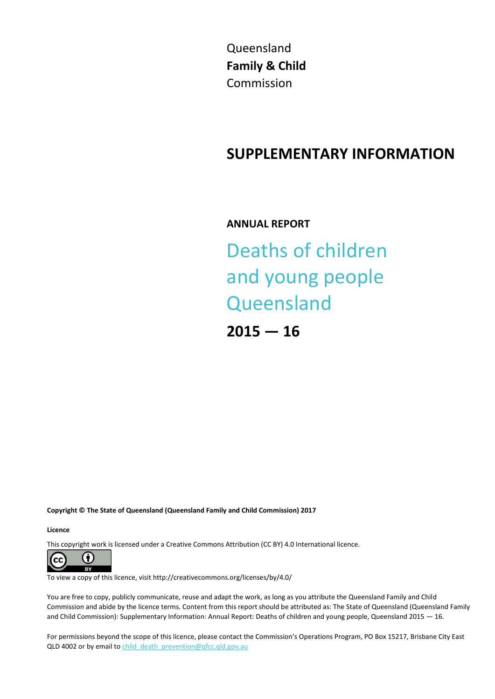Queensland **Family & Child** Commission

## **SUPPLEMENTARY INFORMATION**

**ANNUAL REPORT**

# Deaths of children and young people **Queensland**

**2015 — 16**

**Copyright © The State of Queensland (Queensland Family and Child Commission) 2017**

**Licence**

This copyright work is licensed under a Creative Commons Attribution (CC BY) 4.0 International licence.



To view a copy of this licence, visit http://creativecommons.org/licenses/by/4.0/

You are free to copy, publicly communicate, reuse and adapt the work, as long as you attribute the Queensland Family and Child Commission and abide by the licence terms. Content from this report should be attributed as: The State of Queensland (Queensland Family and Child Commission): Supplementary Information: Annual Report: Deaths of children and young people, Queensland 2015 — 16.

For permissions beyond the scope of this licence, please contact the Commission's Operations Program, PO Box 15217, Brisbane City East QLD 4002 or by email to child death prevention@qfcc.qld.gov.au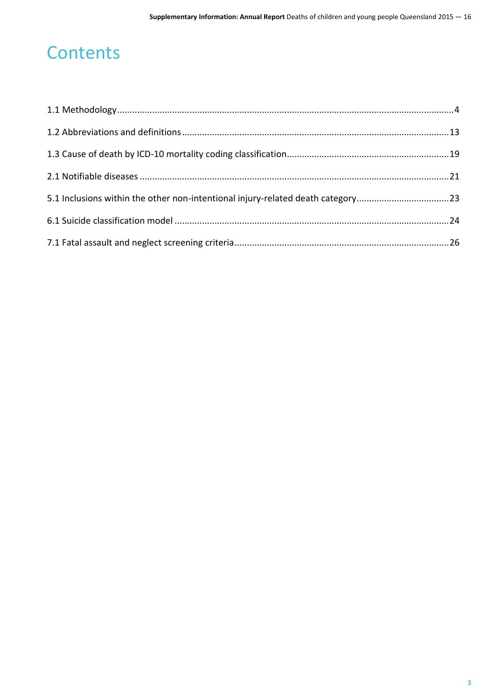## **Contents**

| 5.1 Inclusions within the other non-intentional injury-related death category23 |  |
|---------------------------------------------------------------------------------|--|
|                                                                                 |  |
|                                                                                 |  |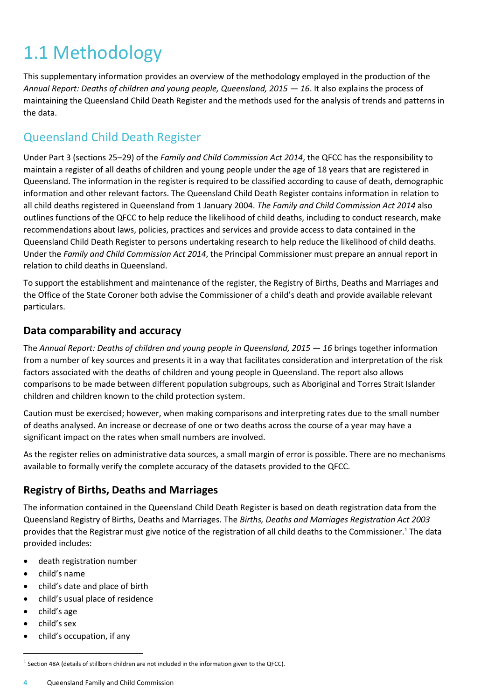## <span id="page-3-0"></span>1.1 Methodology

This supplementary information provides an overview of the methodology employed in the production of the *Annual Report: Deaths of children and young people, Queensland, 2015 — 16*. It also explains the process of maintaining the Queensland Child Death Register and the methods used for the analysis of trends and patterns in the data.

## Queensland Child Death Register

Under Part 3 (sections 25–29) of the *Family and Child Commission Act 2014*, the QFCC has the responsibility to maintain a register of all deaths of children and young people under the age of 18 years that are registered in Queensland. The information in the register is required to be classified according to cause of death, demographic information and other relevant factors. The Queensland Child Death Register contains information in relation to all child deaths registered in Queensland from 1 January 2004. *The Family and Child Commission Act 2014* also outlines functions of the QFCC to help reduce the likelihood of child deaths, including to conduct research, make recommendations about laws, policies, practices and services and provide access to data contained in the Queensland Child Death Register to persons undertaking research to help reduce the likelihood of child deaths. Under the *Family and Child Commission Act 2014*, the Principal Commissioner must prepare an annual report in relation to child deaths in Queensland.

To support the establishment and maintenance of the register, the Registry of Births, Deaths and Marriages and the Office of the State Coroner both advise the Commissioner of a child's death and provide available relevant particulars.

#### **Data comparability and accuracy**

The *Annual Report: Deaths of children and young people in Queensland, 2015 — 16* brings together information from a number of key sources and presents it in a way that facilitates consideration and interpretation of the risk factors associated with the deaths of children and young people in Queensland. The report also allows comparisons to be made between different population subgroups, such as Aboriginal and Torres Strait Islander children and children known to the child protection system.

Caution must be exercised; however, when making comparisons and interpreting rates due to the small number of deaths analysed. An increase or decrease of one or two deaths across the course of a year may have a significant impact on the rates when small numbers are involved.

As the register relies on administrative data sources, a small margin of error is possible. There are no mechanisms available to formally verify the complete accuracy of the datasets provided to the QFCC.

## **Registry of Births, Deaths and Marriages**

The information contained in the Queensland Child Death Register is based on death registration data from the Queensland Registry of Births, Deaths and Marriages. The *Births, Deaths and Marriages Registration Act 2003*  provides that the Registrar must give notice of the registration of all child deaths to the Commissioner.<sup>1</sup> The data provided includes:

- death registration number
- child's name
- child's date and place of birth
- child's usual place of residence
- child's age
- child's sex

 $\overline{a}$ 

child's occupation, if any

**4** Queensland Family and Child Commission

 $^1$  Section 48A (details of stillborn children are not included in the information given to the QFCC).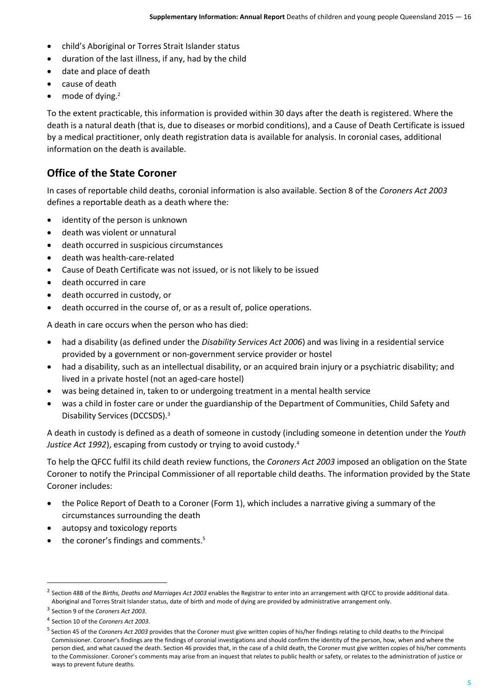- child's Aboriginal or Torres Strait Islander status
- duration of the last illness, if any, had by the child
- date and place of death
- cause of death
- $\bullet$  mode of dving.<sup>2</sup>

To the extent practicable, this information is provided within 30 days after the death is registered. Where the death is a natural death (that is, due to diseases or morbid conditions), and a Cause of Death Certificate is issued by a medical practitioner, only death registration data is available for analysis. In coronial cases, additional information on the death is available.

#### **Office of the State Coroner**

In cases of reportable child deaths, coronial information is also available. Section 8 of the *Coroners Act 2003* defines a reportable death as a death where the:

- identity of the person is unknown
- death was violent or unnatural
- death occurred in suspicious circumstances
- death was health-care-related
- Cause of Death Certificate was not issued, or is not likely to be issued
- death occurred in care
- death occurred in custody, or
- death occurred in the course of, or as a result of, police operations.

A death in care occurs when the person who has died:

- had a disability (as defined under the *Disability Services Act 2006*) and was living in a residential service provided by a government or non-government service provider or hostel
- had a disability, such as an intellectual disability, or an acquired brain injury or a psychiatric disability; and lived in a private hostel (not an aged-care hostel)
- was being detained in, taken to or undergoing treatment in a mental health service
- was a child in foster care or under the guardianship of the Department of Communities, Child Safety and Disability Services (DCCSDS). 3

A death in custody is defined as a death of someone in custody (including someone in detention under the *Youth Justice Act 1992*), escaping from custody or trying to avoid custody.<sup>4</sup>

To help the QFCC fulfil its child death review functions, the *Coroners Act 2003* imposed an obligation on the State Coroner to notify the Principal Commissioner of all reportable child deaths. The information provided by the State Coroner includes:

- the Police Report of Death to a Coroner (Form 1), which includes a narrative giving a summary of the circumstances surrounding the death
- autopsy and toxicology reports
- the coroner's findings and comments.<sup>5</sup>

**.** 

<sup>2</sup> Section 48B of the *Births, Deaths and Marriages Act 2003* enables the Registrar to enter into an arrangement with QFCC to provide additional data. Aboriginal and Torres Strait Islander status, date of birth and mode of dying are provided by administrative arrangement only.

<sup>3</sup> Section 9 of the *Coroners Act 2003*.

<sup>4</sup> Section 10 of the *Coroners Act 2003*.

<sup>&</sup>lt;sup>5</sup> Section 45 of the *Coroners Act 2003* provides that the Coroner must give written copies of his/her findings relating to child deaths to the Principal Commissioner. Coroner's findings are the findings of coronial investigations and should confirm the identity of the person, how, when and where the person died, and what caused the death. Section 46 provides that, in the case of a child death, the Coroner must give written copies of his/her comments to the Commissioner. Coroner's comments may arise from an inquest that relates to public health or safety, or relates to the administration of justice or ways to prevent future deaths.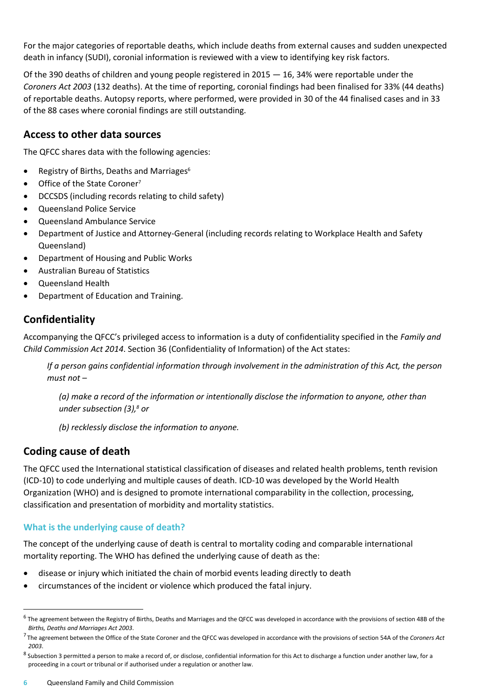For the major categories of reportable deaths, which include deaths from external causes and sudden unexpected death in infancy (SUDI), coronial information is reviewed with a view to identifying key risk factors.

Of the 390 deaths of children and young people registered in 2015 — 16, 34% were reportable under the *Coroners Act 2003* (132 deaths). At the time of reporting, coronial findings had been finalised for 33% (44 deaths) of reportable deaths. Autopsy reports, where performed, were provided in 30 of the 44 finalised cases and in 33 of the 88 cases where coronial findings are still outstanding.

#### **Access to other data sources**

The QFCC shares data with the following agencies:

- Registry of Births, Deaths and Marriages $6$
- Office of the State Coroner<sup>7</sup>
- DCCSDS (including records relating to child safety)
- Queensland Police Service
- Queensland Ambulance Service
- Department of Justice and Attorney-General (including records relating to Workplace Health and Safety Queensland)
- Department of Housing and Public Works
- Australian Bureau of Statistics
- Queensland Health
- Department of Education and Training.

## **Confidentiality**

Accompanying the QFCC's privileged access to information is a duty of confidentiality specified in the *Family and Child Commission Act 2014*. Section 36 (Confidentiality of Information) of the Act states:

*If a person gains confidential information through involvement in the administration of this Act, the person must not –*

*(a) make a record of the information or intentionally disclose the information to anyone, other than under subsection (3), <sup>8</sup> or*

*(b) recklessly disclose the information to anyone.*

## **Coding cause of death**

 $\overline{a}$ 

The QFCC used the International statistical classification of diseases and related health problems, tenth revision (ICD-10) to code underlying and multiple causes of death. ICD-10 was developed by the World Health Organization (WHO) and is designed to promote international comparability in the collection, processing, classification and presentation of morbidity and mortality statistics.

#### **What is the underlying cause of death?**

The concept of the underlying cause of death is central to mortality coding and comparable international mortality reporting. The WHO has defined the underlying cause of death as the:

- disease or injury which initiated the chain of morbid events leading directly to death
- circumstances of the incident or violence which produced the fatal injury.

 $^6$  The agreement between the Registry of Births, Deaths and Marriages and the QFCC was developed in accordance with the provisions of section 48B of the *Births, Deaths and Marriages Act 2003*.

<sup>7</sup> The agreement between the Office of the State Coroner and the QFCC was developed in accordance with the provisions of section 54A of the *Coroners Act 2003*.

 $^8$  Subsection 3 permitted a person to make a record of, or disclose, confidential information for this Act to discharge a function under another law, for a proceeding in a court or tribunal or if authorised under a regulation or another law.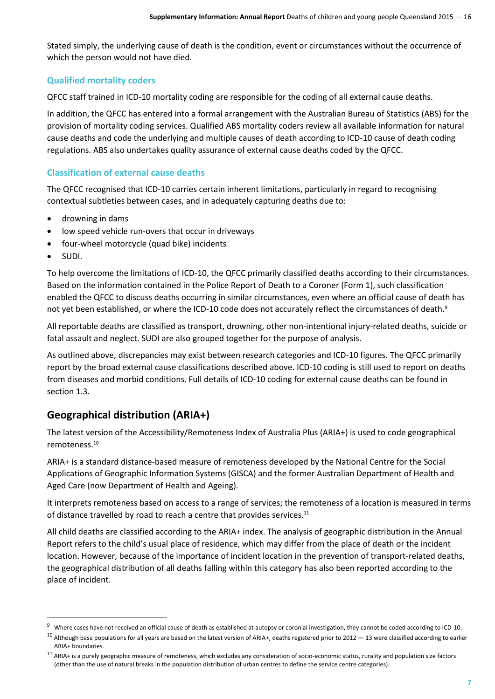Stated simply, the underlying cause of death is the condition, event or circumstances without the occurrence of which the person would not have died.

#### **Qualified mortality coders**

QFCC staff trained in ICD-10 mortality coding are responsible for the coding of all external cause deaths.

In addition, the QFCC has entered into a formal arrangement with the Australian Bureau of Statistics (ABS) for the provision of mortality coding services. Qualified ABS mortality coders review all available information for natural cause deaths and code the underlying and multiple causes of death according to ICD-10 cause of death coding regulations. ABS also undertakes quality assurance of external cause deaths coded by the QFCC.

#### **Classification of external cause deaths**

The QFCC recognised that ICD-10 carries certain inherent limitations, particularly in regard to recognising contextual subtleties between cases, and in adequately capturing deaths due to:

- drowning in dams
- low speed vehicle run-overs that occur in driveways
- four-wheel motorcycle (quad bike) incidents
- SUDI.

1

To help overcome the limitations of ICD-10, the QFCC primarily classified deaths according to their circumstances. Based on the information contained in the Police Report of Death to a Coroner (Form 1), such classification enabled the QFCC to discuss deaths occurring in similar circumstances, even where an official cause of death has not yet been established, or where the ICD-10 code does not accurately reflect the circumstances of death.<sup>9</sup>

All reportable deaths are classified as transport, drowning, other non-intentional injury-related deaths, suicide or fatal assault and neglect. SUDI are also grouped together for the purpose of analysis.

As outlined above, discrepancies may exist between research categories and ICD-10 figures. The QFCC primarily report by the broad external cause classifications described above. ICD-10 coding is still used to report on deaths from diseases and morbid conditions. Full details of ICD-10 coding for external cause deaths can be found in section 1.3.

## **Geographical distribution (ARIA+)**

The latest version of the Accessibility/Remoteness Index of Australia Plus (ARIA+) is used to code geographical remoteness.<sup>10</sup>

ARIA+ is a standard distance-based measure of remoteness developed by the National Centre for the Social Applications of Geographic Information Systems (GISCA) and the former Australian Department of Health and Aged Care (now Department of Health and Ageing).

It interprets remoteness based on access to a range of services; the remoteness of a location is measured in terms of distance travelled by road to reach a centre that provides services.<sup>11</sup>

All child deaths are classified according to the ARIA+ index. The analysis of geographic distribution in the Annual Report refers to the child's usual place of residence, which may differ from the place of death or the incident location. However, because of the importance of incident location in the prevention of transport-related deaths, the geographical distribution of all deaths falling within this category has also been reported according to the place of incident.

<sup>&</sup>lt;sup>9</sup> Where cases have not received an official cause of death as established at autopsy or coronial investigation, they cannot be coded according to ICD-10.

 $^{10}$  Although base populations for all years are based on the latest version of ARIA+, deaths registered prior to 2012  $-$  13 were classified according to earlier ARIA+ boundaries.

 $11$  ARIA+ is a purely geographic measure of remoteness, which excludes any consideration of socio-economic status, rurality and population size factors (other than the use of natural breaks in the population distribution of urban centres to define the service centre categories).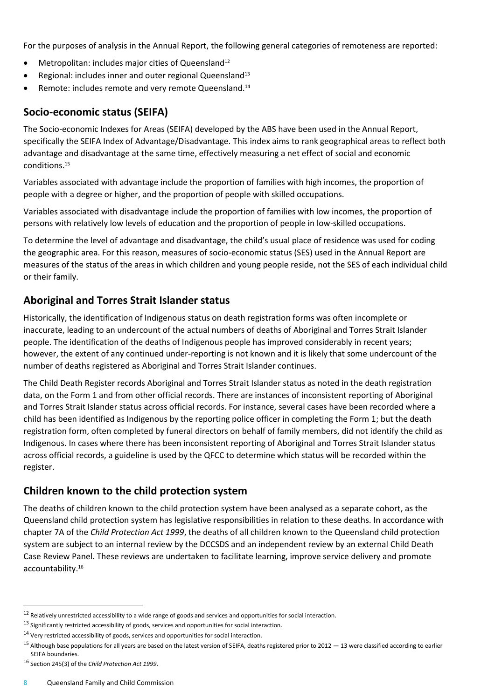For the purposes of analysis in the Annual Report, the following general categories of remoteness are reported:

- Metropolitan: includes major cities of Queensland<sup>12</sup>
- Regional: includes inner and outer regional Queensland<sup>13</sup>
- Remote: includes remote and very remote Queensland.<sup>14</sup>

#### **Socio-economic status (SEIFA)**

The Socio-economic Indexes for Areas (SEIFA) developed by the ABS have been used in the Annual Report, specifically the SEIFA Index of Advantage/Disadvantage. This index aims to rank geographical areas to reflect both advantage and disadvantage at the same time, effectively measuring a net effect of social and economic conditions.<sup>15</sup>

Variables associated with advantage include the proportion of families with high incomes, the proportion of people with a degree or higher, and the proportion of people with skilled occupations.

Variables associated with disadvantage include the proportion of families with low incomes, the proportion of persons with relatively low levels of education and the proportion of people in low-skilled occupations.

To determine the level of advantage and disadvantage, the child's usual place of residence was used for coding the geographic area. For this reason, measures of socio-economic status (SES) used in the Annual Report are measures of the status of the areas in which children and young people reside, not the SES of each individual child or their family.

## **Aboriginal and Torres Strait Islander status**

Historically, the identification of Indigenous status on death registration forms was often incomplete or inaccurate, leading to an undercount of the actual numbers of deaths of Aboriginal and Torres Strait Islander people. The identification of the deaths of Indigenous people has improved considerably in recent years; however, the extent of any continued under-reporting is not known and it is likely that some undercount of the number of deaths registered as Aboriginal and Torres Strait Islander continues.

The Child Death Register records Aboriginal and Torres Strait Islander status as noted in the death registration data, on the Form 1 and from other official records. There are instances of inconsistent reporting of Aboriginal and Torres Strait Islander status across official records. For instance, several cases have been recorded where a child has been identified as Indigenous by the reporting police officer in completing the Form 1; but the death registration form, often completed by funeral directors on behalf of family members, did not identify the child as Indigenous. In cases where there has been inconsistent reporting of Aboriginal and Torres Strait Islander status across official records, a guideline is used by the QFCC to determine which status will be recorded within the register.

## **Children known to the child protection system**

The deaths of children known to the child protection system have been analysed as a separate cohort, as the Queensland child protection system has legislative responsibilities in relation to these deaths. In accordance with chapter 7A of the *Child Protection Act 1999*, the deaths of all children known to the Queensland child protection system are subject to an internal review by the DCCSDS and an independent review by an external Child Death Case Review Panel. These reviews are undertaken to facilitate learning, improve service delivery and promote accountability.<sup>16</sup>

<sup>16</sup> Section 245(3) of the *Child Protection Act 1999*.

 $\ddot{\phantom{a}}$ 

 $12$  Relatively unrestricted accessibility to a wide range of goods and services and opportunities for social interaction.

<sup>&</sup>lt;sup>13</sup> Significantly restricted accessibility of goods, services and opportunities for social interaction.

 $14$  Very restricted accessibility of goods, services and opportunities for social interaction.

 $15$  Although base populations for all years are based on the latest version of SEIFA, deaths registered prior to 2012  $-$  13 were classified according to earlier SEIFA boundaries.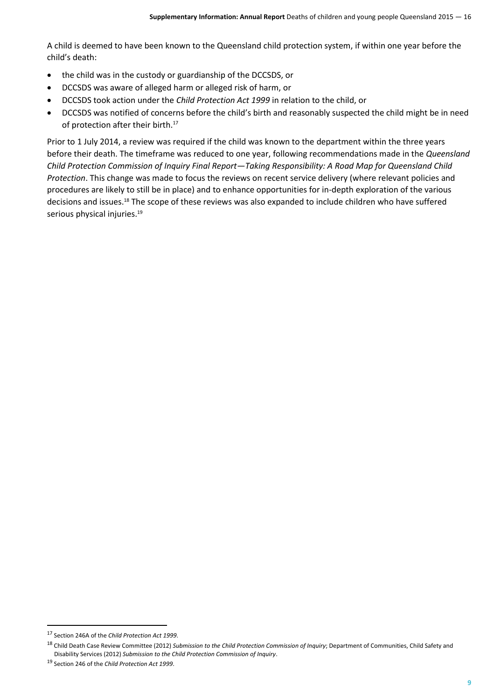A child is deemed to have been known to the Queensland child protection system, if within one year before the child's death:

- the child was in the custody or guardianship of the DCCSDS, or
- DCCSDS was aware of alleged harm or alleged risk of harm, or
- DCCSDS took action under the *Child Protection Act 1999* in relation to the child, or
- DCCSDS was notified of concerns before the child's birth and reasonably suspected the child might be in need of protection after their birth. 17

Prior to 1 July 2014, a review was required if the child was known to the department within the three years before their death. The timeframe was reduced to one year, following recommendations made in the *Queensland Child Protection Commission of Inquiry Final Report—Taking Responsibility: A Road Map for Queensland Child Protection*. This change was made to focus the reviews on recent service delivery (where relevant policies and procedures are likely to still be in place) and to enhance opportunities for in-depth exploration of the various decisions and issues.<sup>18</sup> The scope of these reviews was also expanded to include children who have suffered serious physical injuries.<sup>19</sup>

1

<sup>17</sup> Section 246A of the *Child Protection Act 1999*.

<sup>18</sup> Child Death Case Review Committee (2012) *Submission to the Child Protection Commission of Inquiry*; Department of Communities, Child Safety and Disability Services (2012) *Submission to the Child Protection Commission of Inquiry*.

<sup>19</sup> Section 246 of the *Child Protection Act 1999*.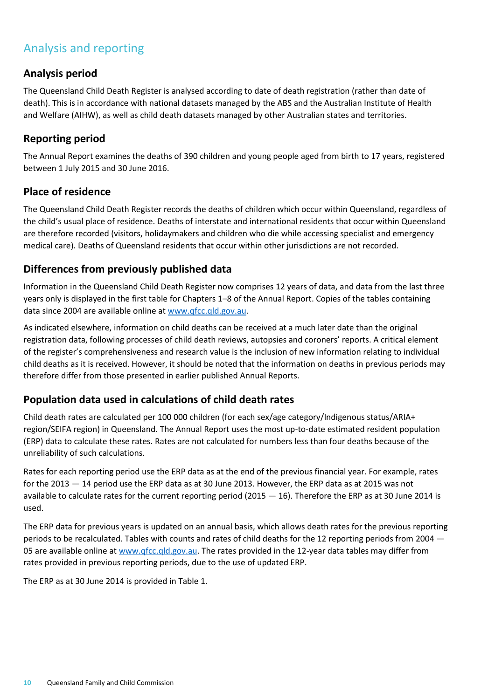## Analysis and reporting

### **Analysis period**

The Queensland Child Death Register is analysed according to date of death registration (rather than date of death). This is in accordance with national datasets managed by the ABS and the Australian Institute of Health and Welfare (AIHW), as well as child death datasets managed by other Australian states and territories.

### **Reporting period**

The Annual Report examines the deaths of 390 children and young people aged from birth to 17 years, registered between 1 July 2015 and 30 June 2016.

#### **Place of residence**

The Queensland Child Death Register records the deaths of children which occur within Queensland, regardless of the child's usual place of residence. Deaths of interstate and international residents that occur within Queensland are therefore recorded (visitors, holidaymakers and children who die while accessing specialist and emergency medical care). Deaths of Queensland residents that occur within other jurisdictions are not recorded.

## **Differences from previously published data**

Information in the Queensland Child Death Register now comprises 12 years of data, and data from the last three years only is displayed in the first table for Chapters 1–8 of the Annual Report. Copies of the tables containing data since 2004 are available online at [www.qfcc.qld.gov.au.](http://www.qfcc.qld.gov.au/)

As indicated elsewhere, information on child deaths can be received at a much later date than the original registration data, following processes of child death reviews, autopsies and coroners' reports. A critical element of the register's comprehensiveness and research value is the inclusion of new information relating to individual child deaths as it is received. However, it should be noted that the information on deaths in previous periods may therefore differ from those presented in earlier published Annual Reports.

## **Population data used in calculations of child death rates**

Child death rates are calculated per 100 000 children (for each sex/age category/Indigenous status/ARIA+ region/SEIFA region) in Queensland. The Annual Report uses the most up-to-date estimated resident population (ERP) data to calculate these rates. Rates are not calculated for numbers less than four deaths because of the unreliability of such calculations.

Rates for each reporting period use the ERP data as at the end of the previous financial year. For example, rates for the 2013 — 14 period use the ERP data as at 30 June 2013. However, the ERP data as at 2015 was not available to calculate rates for the current reporting period (2015 — 16). Therefore the ERP as at 30 June 2014 is used.

The ERP data for previous years is updated on an annual basis, which allows death rates for the previous reporting periods to be recalculated. Tables with counts and rates of child deaths for the 12 reporting periods from 2004 — 05 are available online at [www.qfcc.qld.gov.au.](http://www.qfcc.qld.gov.au/) The rates provided in the 12-year data tables may differ from rates provided in previous reporting periods, due to the use of updated ERP.

The ERP as at 30 June 2014 is provided in Table 1.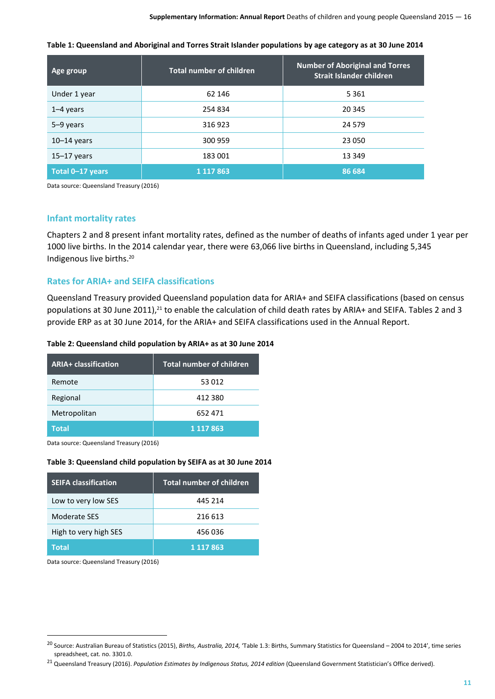| Table 1: Queensland and Aboriginal and Torres Strait Islander populations by age category as at 30 June 2014 |
|--------------------------------------------------------------------------------------------------------------|
|--------------------------------------------------------------------------------------------------------------|

| Age group        | <b>Total number of children</b> | <b>Number of Aboriginal and Torres</b><br>Strait Islander children |
|------------------|---------------------------------|--------------------------------------------------------------------|
| Under 1 year     | 62 146                          | 5 3 6 1                                                            |
| $1-4$ years      | 254 834                         | 20 345                                                             |
| $5-9$ years      | 316923                          | 24 579                                                             |
| $10-14$ years    | 300 959                         | 23 050                                                             |
| $15-17$ years    | 183 001                         | 13 349                                                             |
| Total 0-17 years | 1 1 1 7 8 6 3                   | 86 684                                                             |

Data source: Queensland Treasury (2016)

#### **Infant mortality rates**

Chapters 2 and 8 present infant mortality rates, defined as the number of deaths of infants aged under 1 year per 1000 live births. In the 2014 calendar year, there were 63,066 live births in Queensland, including 5,345 Indigenous live births.<sup>20</sup>

#### **Rates for ARIA+ and SEIFA classifications**

Queensland Treasury provided Queensland population data for ARIA+ and SEIFA classifications (based on census populations at 30 June 2011),<sup>21</sup> to enable the calculation of child death rates by ARIA+ and SEIFA. Tables 2 and 3 provide ERP as at 30 June 2014, for the ARIA+ and SEIFA classifications used in the Annual Report.

#### **Table 2: Queensland child population by ARIA+ as at 30 June 2014**

| <b>ARIA+ classification</b> | <b>Total number of children</b> |
|-----------------------------|---------------------------------|
| Remote                      | 53 012                          |
| Regional                    | 412 380                         |
| Metropolitan                | 652 471                         |
| <b>Total</b>                | 1 1 1 7 8 6 3                   |

Data source: Queensland Treasury (2016)

#### **Table 3: Queensland child population by SEIFA as at 30 June 2014**

| <b>SEIFA classification</b> | <b>Total number of children</b> |
|-----------------------------|---------------------------------|
| Low to very low SES         | 445 214                         |
| Moderate SES                | 216 613                         |
| High to very high SES       | 456 036                         |
| <b>Total</b>                | 1 1 1 7 8 6 3                   |

Data source: Queensland Treasury (2016)

**.** 

<sup>20</sup> Source: Australian Bureau of Statistics (2015), *Births, Australia, 2014,* 'Table 1.3: Births, Summary Statistics for Queensland – 2004 to 2014', time series spreadsheet, cat. no. 3301.0.

<sup>21</sup> Queensland Treasury (2016). *Population Estimates by Indigenous Status, 2014 edition* (Queensland Government Statistician's Office derived).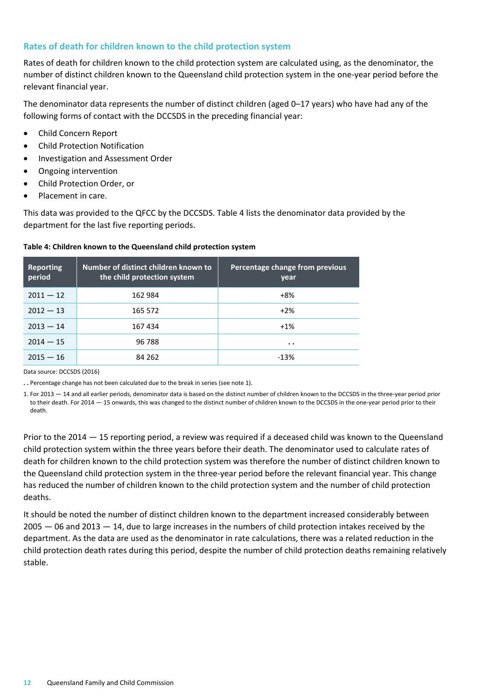#### **Rates of death for children known to the child protection system**

Rates of death for children known to the child protection system are calculated using, as the denominator, the number of distinct children known to the Queensland child protection system in the one-year period before the relevant financial year.

The denominator data represents the number of distinct children (aged 0–17 years) who have had any of the following forms of contact with the DCCSDS in the preceding financial year:

- Child Concern Report
- Child Protection Notification
- Investigation and Assessment Order
- Ongoing intervention
- Child Protection Order, or
- Placement in care.

This data was provided to the QFCC by the DCCSDS. Table 4 lists the denominator data provided by the department for the last five reporting periods.

#### **Table 4: Children known to the Queensland child protection system**

| Reporting<br>period | Number of distinct children known to<br>the child protection system | Percentage change from previous<br>year      |
|---------------------|---------------------------------------------------------------------|----------------------------------------------|
| $2011 - 12$         | 162 984                                                             | +8%                                          |
| $2012 - 13$         | 165 572                                                             | $+2\%$                                       |
| $2013 - 14$         | 167434                                                              | $+1%$                                        |
| $2014 - 15$         | 96 788                                                              | $\bullet\hspace{0.4mm}\bullet\hspace{0.4mm}$ |
| $2015 - 16$         | 84 262                                                              | $-13%$                                       |

Data source: DCCSDS (2016)

**. .** Percentage change has not been calculated due to the break in series (see note 1).

1. For 2013 — 14 and all earlier periods, denominator data is based on the distinct number of children known to the DCCSDS in the three-year period prior to their death. For 2014 - 15 onwards, this was changed to the distinct number of children known to the DCCSDS in the one-year period prior to their death.

Prior to the 2014 — 15 reporting period, a review was required if a deceased child was known to the Queensland child protection system within the three years before their death. The denominator used to calculate rates of death for children known to the child protection system was therefore the number of distinct children known to the Queensland child protection system in the three-year period before the relevant financial year. This change has reduced the number of children known to the child protection system and the number of child protection deaths.

It should be noted the number of distinct children known to the department increased considerably between  $2005 - 06$  and  $2013 - 14$ , due to large increases in the numbers of child protection intakes received by the department. As the data are used as the denominator in rate calculations, there was a related reduction in the child protection death rates during this period, despite the number of child protection deaths remaining relatively stable.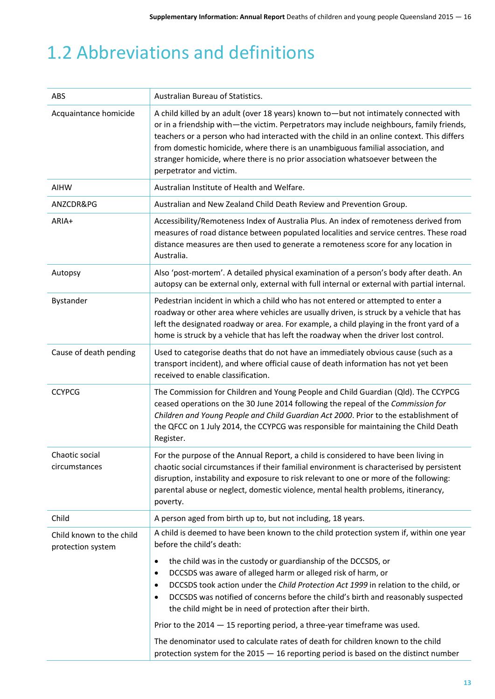## <span id="page-12-0"></span>1.2 Abbreviations and definitions

| ABS                                           | Australian Bureau of Statistics.                                                                                                                                                                                                                                                                                                                                                                                                                                                                                                                                                                                                                                                                                 |
|-----------------------------------------------|------------------------------------------------------------------------------------------------------------------------------------------------------------------------------------------------------------------------------------------------------------------------------------------------------------------------------------------------------------------------------------------------------------------------------------------------------------------------------------------------------------------------------------------------------------------------------------------------------------------------------------------------------------------------------------------------------------------|
| Acquaintance homicide                         | A child killed by an adult (over 18 years) known to - but not intimately connected with<br>or in a friendship with-the victim. Perpetrators may include neighbours, family friends,<br>teachers or a person who had interacted with the child in an online context. This differs<br>from domestic homicide, where there is an unambiguous familial association, and<br>stranger homicide, where there is no prior association whatsoever between the<br>perpetrator and victim.                                                                                                                                                                                                                                  |
| <b>AIHW</b>                                   | Australian Institute of Health and Welfare.                                                                                                                                                                                                                                                                                                                                                                                                                                                                                                                                                                                                                                                                      |
| ANZCDR&PG                                     | Australian and New Zealand Child Death Review and Prevention Group.                                                                                                                                                                                                                                                                                                                                                                                                                                                                                                                                                                                                                                              |
| ARIA+                                         | Accessibility/Remoteness Index of Australia Plus. An index of remoteness derived from<br>measures of road distance between populated localities and service centres. These road<br>distance measures are then used to generate a remoteness score for any location in<br>Australia.                                                                                                                                                                                                                                                                                                                                                                                                                              |
| Autopsy                                       | Also 'post-mortem'. A detailed physical examination of a person's body after death. An<br>autopsy can be external only, external with full internal or external with partial internal.                                                                                                                                                                                                                                                                                                                                                                                                                                                                                                                           |
| Bystander                                     | Pedestrian incident in which a child who has not entered or attempted to enter a<br>roadway or other area where vehicles are usually driven, is struck by a vehicle that has<br>left the designated roadway or area. For example, a child playing in the front yard of a<br>home is struck by a vehicle that has left the roadway when the driver lost control.                                                                                                                                                                                                                                                                                                                                                  |
| Cause of death pending                        | Used to categorise deaths that do not have an immediately obvious cause (such as a<br>transport incident), and where official cause of death information has not yet been<br>received to enable classification.                                                                                                                                                                                                                                                                                                                                                                                                                                                                                                  |
| <b>CCYPCG</b>                                 | The Commission for Children and Young People and Child Guardian (Qld). The CCYPCG<br>ceased operations on the 30 June 2014 following the repeal of the Commission for<br>Children and Young People and Child Guardian Act 2000. Prior to the establishment of<br>the QFCC on 1 July 2014, the CCYPCG was responsible for maintaining the Child Death<br>Register.                                                                                                                                                                                                                                                                                                                                                |
| Chaotic social<br>circumstances               | For the purpose of the Annual Report, a child is considered to have been living in<br>chaotic social circumstances if their familial environment is characterised by persistent<br>disruption, instability and exposure to risk relevant to one or more of the following:<br>parental abuse or neglect, domestic violence, mental health problems, itinerancy,<br>poverty.                                                                                                                                                                                                                                                                                                                                       |
| Child                                         | A person aged from birth up to, but not including, 18 years.                                                                                                                                                                                                                                                                                                                                                                                                                                                                                                                                                                                                                                                     |
| Child known to the child<br>protection system | A child is deemed to have been known to the child protection system if, within one year<br>before the child's death:<br>the child was in the custody or guardianship of the DCCSDS, or<br>$\bullet$<br>DCCSDS was aware of alleged harm or alleged risk of harm, or<br>$\bullet$<br>DCCSDS took action under the Child Protection Act 1999 in relation to the child, or<br>$\bullet$<br>DCCSDS was notified of concerns before the child's birth and reasonably suspected<br>٠<br>the child might be in need of protection after their birth.<br>Prior to the $2014 - 15$ reporting period, a three-year timeframe was used.<br>The denominator used to calculate rates of death for children known to the child |
|                                               | protection system for the $2015 - 16$ reporting period is based on the distinct number                                                                                                                                                                                                                                                                                                                                                                                                                                                                                                                                                                                                                           |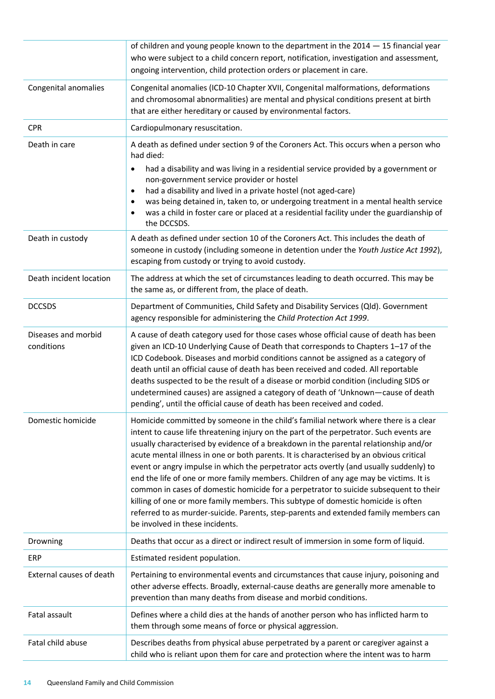|                                   | of children and young people known to the department in the $2014 - 15$ financial year<br>who were subject to a child concern report, notification, investigation and assessment,<br>ongoing intervention, child protection orders or placement in care.                                                                                                                                                                                                                                                                                                                                                                                                                                                                                                                                                                                                       |
|-----------------------------------|----------------------------------------------------------------------------------------------------------------------------------------------------------------------------------------------------------------------------------------------------------------------------------------------------------------------------------------------------------------------------------------------------------------------------------------------------------------------------------------------------------------------------------------------------------------------------------------------------------------------------------------------------------------------------------------------------------------------------------------------------------------------------------------------------------------------------------------------------------------|
| Congenital anomalies              | Congenital anomalies (ICD-10 Chapter XVII, Congenital malformations, deformations<br>and chromosomal abnormalities) are mental and physical conditions present at birth<br>that are either hereditary or caused by environmental factors.                                                                                                                                                                                                                                                                                                                                                                                                                                                                                                                                                                                                                      |
| <b>CPR</b>                        | Cardiopulmonary resuscitation.                                                                                                                                                                                                                                                                                                                                                                                                                                                                                                                                                                                                                                                                                                                                                                                                                                 |
| Death in care                     | A death as defined under section 9 of the Coroners Act. This occurs when a person who<br>had died:<br>had a disability and was living in a residential service provided by a government or<br>٠                                                                                                                                                                                                                                                                                                                                                                                                                                                                                                                                                                                                                                                                |
|                                   | non-government service provider or hostel<br>had a disability and lived in a private hostel (not aged-care)<br>$\bullet$                                                                                                                                                                                                                                                                                                                                                                                                                                                                                                                                                                                                                                                                                                                                       |
|                                   | was being detained in, taken to, or undergoing treatment in a mental health service<br>$\bullet$<br>was a child in foster care or placed at a residential facility under the guardianship of<br>the DCCSDS.                                                                                                                                                                                                                                                                                                                                                                                                                                                                                                                                                                                                                                                    |
| Death in custody                  | A death as defined under section 10 of the Coroners Act. This includes the death of<br>someone in custody (including someone in detention under the Youth Justice Act 1992),<br>escaping from custody or trying to avoid custody.                                                                                                                                                                                                                                                                                                                                                                                                                                                                                                                                                                                                                              |
| Death incident location           | The address at which the set of circumstances leading to death occurred. This may be<br>the same as, or different from, the place of death.                                                                                                                                                                                                                                                                                                                                                                                                                                                                                                                                                                                                                                                                                                                    |
| <b>DCCSDS</b>                     | Department of Communities, Child Safety and Disability Services (Qld). Government<br>agency responsible for administering the Child Protection Act 1999.                                                                                                                                                                                                                                                                                                                                                                                                                                                                                                                                                                                                                                                                                                       |
| Diseases and morbid<br>conditions | A cause of death category used for those cases whose official cause of death has been<br>given an ICD-10 Underlying Cause of Death that corresponds to Chapters 1-17 of the<br>ICD Codebook. Diseases and morbid conditions cannot be assigned as a category of<br>death until an official cause of death has been received and coded. All reportable<br>deaths suspected to be the result of a disease or morbid condition (including SIDS or<br>undetermined causes) are assigned a category of death of 'Unknown-cause of death<br>pending', until the official cause of death has been received and coded.                                                                                                                                                                                                                                                 |
| Domestic homicide                 | Homicide committed by someone in the child's familial network where there is a clear<br>intent to cause life threatening injury on the part of the perpetrator. Such events are<br>usually characterised by evidence of a breakdown in the parental relationship and/or<br>acute mental illness in one or both parents. It is characterised by an obvious critical<br>event or angry impulse in which the perpetrator acts overtly (and usually suddenly) to<br>end the life of one or more family members. Children of any age may be victims. It is<br>common in cases of domestic homicide for a perpetrator to suicide subsequent to their<br>killing of one or more family members. This subtype of domestic homicide is often<br>referred to as murder-suicide. Parents, step-parents and extended family members can<br>be involved in these incidents. |
| Drowning                          | Deaths that occur as a direct or indirect result of immersion in some form of liquid.                                                                                                                                                                                                                                                                                                                                                                                                                                                                                                                                                                                                                                                                                                                                                                          |
| ERP                               | Estimated resident population.                                                                                                                                                                                                                                                                                                                                                                                                                                                                                                                                                                                                                                                                                                                                                                                                                                 |
| External causes of death          | Pertaining to environmental events and circumstances that cause injury, poisoning and<br>other adverse effects. Broadly, external-cause deaths are generally more amenable to<br>prevention than many deaths from disease and morbid conditions.                                                                                                                                                                                                                                                                                                                                                                                                                                                                                                                                                                                                               |
| Fatal assault                     | Defines where a child dies at the hands of another person who has inflicted harm to<br>them through some means of force or physical aggression.                                                                                                                                                                                                                                                                                                                                                                                                                                                                                                                                                                                                                                                                                                                |
| Fatal child abuse                 | Describes deaths from physical abuse perpetrated by a parent or caregiver against a<br>child who is reliant upon them for care and protection where the intent was to harm                                                                                                                                                                                                                                                                                                                                                                                                                                                                                                                                                                                                                                                                                     |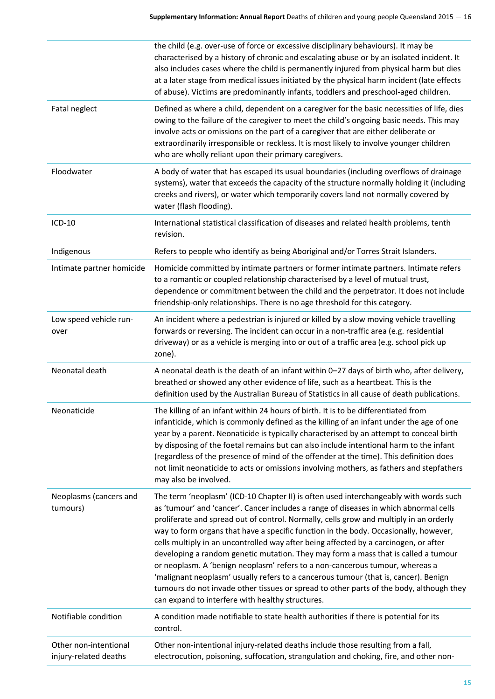|                                                | the child (e.g. over-use of force or excessive disciplinary behaviours). It may be<br>characterised by a history of chronic and escalating abuse or by an isolated incident. It<br>also includes cases where the child is permanently injured from physical harm but dies<br>at a later stage from medical issues initiated by the physical harm incident (late effects<br>of abuse). Victims are predominantly infants, toddlers and preschool-aged children.                                                                                                                                                                                                                                                                                                                                                                                                       |
|------------------------------------------------|----------------------------------------------------------------------------------------------------------------------------------------------------------------------------------------------------------------------------------------------------------------------------------------------------------------------------------------------------------------------------------------------------------------------------------------------------------------------------------------------------------------------------------------------------------------------------------------------------------------------------------------------------------------------------------------------------------------------------------------------------------------------------------------------------------------------------------------------------------------------|
| Fatal neglect                                  | Defined as where a child, dependent on a caregiver for the basic necessities of life, dies<br>owing to the failure of the caregiver to meet the child's ongoing basic needs. This may<br>involve acts or omissions on the part of a caregiver that are either deliberate or<br>extraordinarily irresponsible or reckless. It is most likely to involve younger children<br>who are wholly reliant upon their primary caregivers.                                                                                                                                                                                                                                                                                                                                                                                                                                     |
| Floodwater                                     | A body of water that has escaped its usual boundaries (including overflows of drainage<br>systems), water that exceeds the capacity of the structure normally holding it (including<br>creeks and rivers), or water which temporarily covers land not normally covered by<br>water (flash flooding).                                                                                                                                                                                                                                                                                                                                                                                                                                                                                                                                                                 |
| ICD-10                                         | International statistical classification of diseases and related health problems, tenth<br>revision.                                                                                                                                                                                                                                                                                                                                                                                                                                                                                                                                                                                                                                                                                                                                                                 |
| Indigenous                                     | Refers to people who identify as being Aboriginal and/or Torres Strait Islanders.                                                                                                                                                                                                                                                                                                                                                                                                                                                                                                                                                                                                                                                                                                                                                                                    |
| Intimate partner homicide                      | Homicide committed by intimate partners or former intimate partners. Intimate refers<br>to a romantic or coupled relationship characterised by a level of mutual trust,<br>dependence or commitment between the child and the perpetrator. It does not include<br>friendship-only relationships. There is no age threshold for this category.                                                                                                                                                                                                                                                                                                                                                                                                                                                                                                                        |
| Low speed vehicle run-<br>over                 | An incident where a pedestrian is injured or killed by a slow moving vehicle travelling<br>forwards or reversing. The incident can occur in a non-traffic area (e.g. residential<br>driveway) or as a vehicle is merging into or out of a traffic area (e.g. school pick up<br>zone).                                                                                                                                                                                                                                                                                                                                                                                                                                                                                                                                                                                |
| Neonatal death                                 | A neonatal death is the death of an infant within 0-27 days of birth who, after delivery,<br>breathed or showed any other evidence of life, such as a heartbeat. This is the<br>definition used by the Australian Bureau of Statistics in all cause of death publications.                                                                                                                                                                                                                                                                                                                                                                                                                                                                                                                                                                                           |
| Neonaticide                                    | The killing of an infant within 24 hours of birth. It is to be differentiated from<br>infanticide, which is commonly defined as the killing of an infant under the age of one<br>year by a parent. Neonaticide is typically characterised by an attempt to conceal birth<br>by disposing of the foetal remains but can also include intentional harm to the infant<br>(regardless of the presence of mind of the offender at the time). This definition does<br>not limit neonaticide to acts or omissions involving mothers, as fathers and stepfathers<br>may also be involved.                                                                                                                                                                                                                                                                                    |
| Neoplasms (cancers and<br>tumours)             | The term 'neoplasm' (ICD-10 Chapter II) is often used interchangeably with words such<br>as 'tumour' and 'cancer'. Cancer includes a range of diseases in which abnormal cells<br>proliferate and spread out of control. Normally, cells grow and multiply in an orderly<br>way to form organs that have a specific function in the body. Occasionally, however,<br>cells multiply in an uncontrolled way after being affected by a carcinogen, or after<br>developing a random genetic mutation. They may form a mass that is called a tumour<br>or neoplasm. A 'benign neoplasm' refers to a non-cancerous tumour, whereas a<br>'malignant neoplasm' usually refers to a cancerous tumour (that is, cancer). Benign<br>tumours do not invade other tissues or spread to other parts of the body, although they<br>can expand to interfere with healthy structures. |
| Notifiable condition                           | A condition made notifiable to state health authorities if there is potential for its<br>control.                                                                                                                                                                                                                                                                                                                                                                                                                                                                                                                                                                                                                                                                                                                                                                    |
| Other non-intentional<br>injury-related deaths | Other non-intentional injury-related deaths include those resulting from a fall,<br>electrocution, poisoning, suffocation, strangulation and choking, fire, and other non-                                                                                                                                                                                                                                                                                                                                                                                                                                                                                                                                                                                                                                                                                           |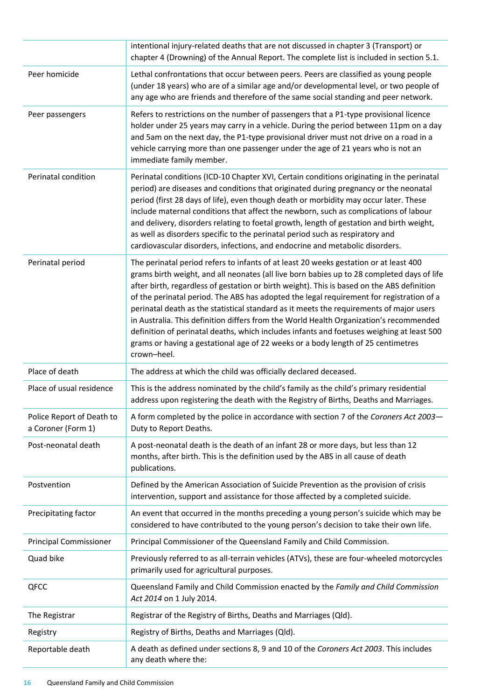|                                                 | intentional injury-related deaths that are not discussed in chapter 3 (Transport) or<br>chapter 4 (Drowning) of the Annual Report. The complete list is included in section 5.1.                                                                                                                                                                                                                                                                                                                                                                                                                                                                                                                                                                                   |
|-------------------------------------------------|--------------------------------------------------------------------------------------------------------------------------------------------------------------------------------------------------------------------------------------------------------------------------------------------------------------------------------------------------------------------------------------------------------------------------------------------------------------------------------------------------------------------------------------------------------------------------------------------------------------------------------------------------------------------------------------------------------------------------------------------------------------------|
| Peer homicide                                   | Lethal confrontations that occur between peers. Peers are classified as young people<br>(under 18 years) who are of a similar age and/or developmental level, or two people of<br>any age who are friends and therefore of the same social standing and peer network.                                                                                                                                                                                                                                                                                                                                                                                                                                                                                              |
| Peer passengers                                 | Refers to restrictions on the number of passengers that a P1-type provisional licence<br>holder under 25 years may carry in a vehicle. During the period between 11pm on a day<br>and 5am on the next day, the P1-type provisional driver must not drive on a road in a<br>vehicle carrying more than one passenger under the age of 21 years who is not an<br>immediate family member.                                                                                                                                                                                                                                                                                                                                                                            |
| Perinatal condition                             | Perinatal conditions (ICD-10 Chapter XVI, Certain conditions originating in the perinatal<br>period) are diseases and conditions that originated during pregnancy or the neonatal<br>period (first 28 days of life), even though death or morbidity may occur later. These<br>include maternal conditions that affect the newborn, such as complications of labour<br>and delivery, disorders relating to foetal growth, length of gestation and birth weight,<br>as well as disorders specific to the perinatal period such as respiratory and<br>cardiovascular disorders, infections, and endocrine and metabolic disorders.                                                                                                                                    |
| Perinatal period                                | The perinatal period refers to infants of at least 20 weeks gestation or at least 400<br>grams birth weight, and all neonates (all live born babies up to 28 completed days of life<br>after birth, regardless of gestation or birth weight). This is based on the ABS definition<br>of the perinatal period. The ABS has adopted the legal requirement for registration of a<br>perinatal death as the statistical standard as it meets the requirements of major users<br>in Australia. This definition differs from the World Health Organization's recommended<br>definition of perinatal deaths, which includes infants and foetuses weighing at least 500<br>grams or having a gestational age of 22 weeks or a body length of 25 centimetres<br>crown-heel. |
| Place of death                                  | The address at which the child was officially declared deceased.                                                                                                                                                                                                                                                                                                                                                                                                                                                                                                                                                                                                                                                                                                   |
| Place of usual residence                        | This is the address nominated by the child's family as the child's primary residential<br>address upon registering the death with the Registry of Births, Deaths and Marriages.                                                                                                                                                                                                                                                                                                                                                                                                                                                                                                                                                                                    |
| Police Report of Death to<br>a Coroner (Form 1) | A form completed by the police in accordance with section 7 of the Coroners Act 2003-<br>Duty to Report Deaths.                                                                                                                                                                                                                                                                                                                                                                                                                                                                                                                                                                                                                                                    |
| Post-neonatal death                             | A post-neonatal death is the death of an infant 28 or more days, but less than 12<br>months, after birth. This is the definition used by the ABS in all cause of death<br>publications.                                                                                                                                                                                                                                                                                                                                                                                                                                                                                                                                                                            |
| Postvention                                     | Defined by the American Association of Suicide Prevention as the provision of crisis<br>intervention, support and assistance for those affected by a completed suicide.                                                                                                                                                                                                                                                                                                                                                                                                                                                                                                                                                                                            |
| Precipitating factor                            | An event that occurred in the months preceding a young person's suicide which may be<br>considered to have contributed to the young person's decision to take their own life.                                                                                                                                                                                                                                                                                                                                                                                                                                                                                                                                                                                      |
| <b>Principal Commissioner</b>                   | Principal Commissioner of the Queensland Family and Child Commission.                                                                                                                                                                                                                                                                                                                                                                                                                                                                                                                                                                                                                                                                                              |
| Quad bike                                       | Previously referred to as all-terrain vehicles (ATVs), these are four-wheeled motorcycles<br>primarily used for agricultural purposes.                                                                                                                                                                                                                                                                                                                                                                                                                                                                                                                                                                                                                             |
| QFCC                                            | Queensland Family and Child Commission enacted by the Family and Child Commission<br>Act 2014 on 1 July 2014.                                                                                                                                                                                                                                                                                                                                                                                                                                                                                                                                                                                                                                                      |
| The Registrar                                   | Registrar of the Registry of Births, Deaths and Marriages (Qld).                                                                                                                                                                                                                                                                                                                                                                                                                                                                                                                                                                                                                                                                                                   |
| Registry                                        | Registry of Births, Deaths and Marriages (Qld).                                                                                                                                                                                                                                                                                                                                                                                                                                                                                                                                                                                                                                                                                                                    |
| Reportable death                                | A death as defined under sections 8, 9 and 10 of the Coroners Act 2003. This includes<br>any death where the:                                                                                                                                                                                                                                                                                                                                                                                                                                                                                                                                                                                                                                                      |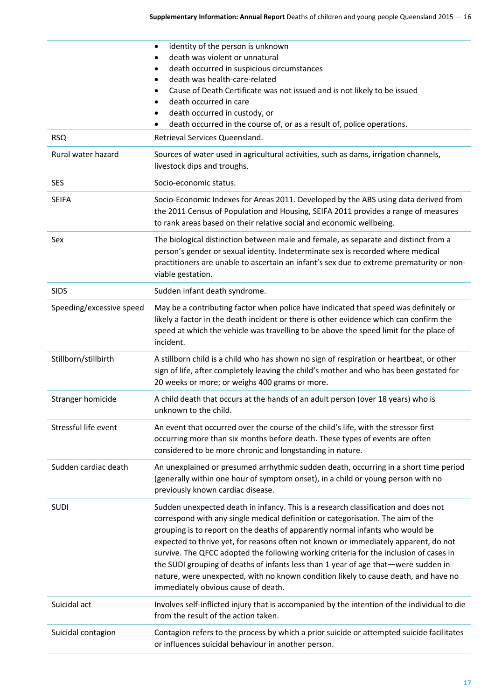|                          | identity of the person is unknown<br>$\bullet$<br>death was violent or unnatural<br>٠                                                                                                                                                                                                                                                                                                                                                                                                                                                                                                                                                                       |
|--------------------------|-------------------------------------------------------------------------------------------------------------------------------------------------------------------------------------------------------------------------------------------------------------------------------------------------------------------------------------------------------------------------------------------------------------------------------------------------------------------------------------------------------------------------------------------------------------------------------------------------------------------------------------------------------------|
|                          | death occurred in suspicious circumstances<br>$\bullet$                                                                                                                                                                                                                                                                                                                                                                                                                                                                                                                                                                                                     |
|                          | death was health-care-related<br>$\bullet$<br>Cause of Death Certificate was not issued and is not likely to be issued<br>$\bullet$                                                                                                                                                                                                                                                                                                                                                                                                                                                                                                                         |
|                          | death occurred in care<br>٠                                                                                                                                                                                                                                                                                                                                                                                                                                                                                                                                                                                                                                 |
|                          | death occurred in custody, or<br>٠                                                                                                                                                                                                                                                                                                                                                                                                                                                                                                                                                                                                                          |
|                          | death occurred in the course of, or as a result of, police operations.<br>$\bullet$                                                                                                                                                                                                                                                                                                                                                                                                                                                                                                                                                                         |
| <b>RSQ</b>               | Retrieval Services Queensland.                                                                                                                                                                                                                                                                                                                                                                                                                                                                                                                                                                                                                              |
| Rural water hazard       | Sources of water used in agricultural activities, such as dams, irrigation channels,<br>livestock dips and troughs.                                                                                                                                                                                                                                                                                                                                                                                                                                                                                                                                         |
| <b>SES</b>               | Socio-economic status.                                                                                                                                                                                                                                                                                                                                                                                                                                                                                                                                                                                                                                      |
| <b>SEIFA</b>             | Socio-Economic Indexes for Areas 2011. Developed by the ABS using data derived from<br>the 2011 Census of Population and Housing, SEIFA 2011 provides a range of measures<br>to rank areas based on their relative social and economic wellbeing.                                                                                                                                                                                                                                                                                                                                                                                                           |
| Sex                      | The biological distinction between male and female, as separate and distinct from a<br>person's gender or sexual identity. Indeterminate sex is recorded where medical<br>practitioners are unable to ascertain an infant's sex due to extreme prematurity or non-<br>viable gestation.                                                                                                                                                                                                                                                                                                                                                                     |
| <b>SIDS</b>              | Sudden infant death syndrome.                                                                                                                                                                                                                                                                                                                                                                                                                                                                                                                                                                                                                               |
| Speeding/excessive speed | May be a contributing factor when police have indicated that speed was definitely or<br>likely a factor in the death incident or there is other evidence which can confirm the<br>speed at which the vehicle was travelling to be above the speed limit for the place of<br>incident.                                                                                                                                                                                                                                                                                                                                                                       |
| Stillborn/stillbirth     | A stillborn child is a child who has shown no sign of respiration or heartbeat, or other<br>sign of life, after completely leaving the child's mother and who has been gestated for<br>20 weeks or more; or weighs 400 grams or more.                                                                                                                                                                                                                                                                                                                                                                                                                       |
| Stranger homicide        | A child death that occurs at the hands of an adult person (over 18 years) who is<br>unknown to the child.                                                                                                                                                                                                                                                                                                                                                                                                                                                                                                                                                   |
| Stressful life event     | An event that occurred over the course of the child's life, with the stressor first<br>occurring more than six months before death. These types of events are often<br>considered to be more chronic and longstanding in nature.                                                                                                                                                                                                                                                                                                                                                                                                                            |
| Sudden cardiac death     | An unexplained or presumed arrhythmic sudden death, occurring in a short time period<br>(generally within one hour of symptom onset), in a child or young person with no<br>previously known cardiac disease.                                                                                                                                                                                                                                                                                                                                                                                                                                               |
| <b>SUDI</b>              | Sudden unexpected death in infancy. This is a research classification and does not<br>correspond with any single medical definition or categorisation. The aim of the<br>grouping is to report on the deaths of apparently normal infants who would be<br>expected to thrive yet, for reasons often not known or immediately apparent, do not<br>survive. The QFCC adopted the following working criteria for the inclusion of cases in<br>the SUDI grouping of deaths of infants less than 1 year of age that-were sudden in<br>nature, were unexpected, with no known condition likely to cause death, and have no<br>immediately obvious cause of death. |
| Suicidal act             | Involves self-inflicted injury that is accompanied by the intention of the individual to die<br>from the result of the action taken.                                                                                                                                                                                                                                                                                                                                                                                                                                                                                                                        |
| Suicidal contagion       | Contagion refers to the process by which a prior suicide or attempted suicide facilitates<br>or influences suicidal behaviour in another person.                                                                                                                                                                                                                                                                                                                                                                                                                                                                                                            |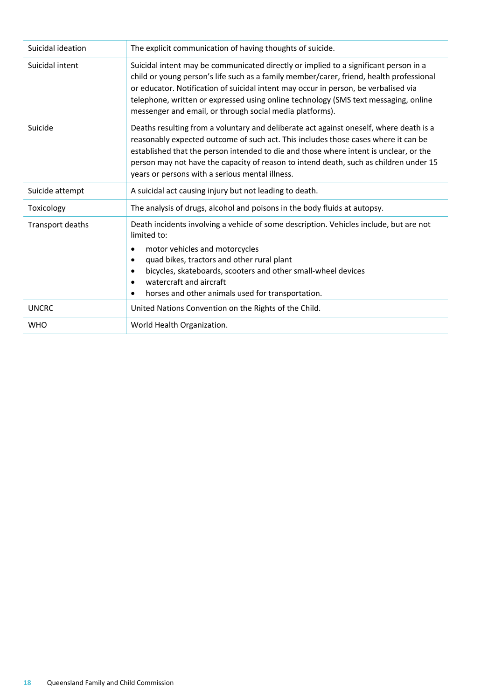| Suicidal ideation | The explicit communication of having thoughts of suicide.                                                                                                                                                                                                                                                                                                                                                                 |
|-------------------|---------------------------------------------------------------------------------------------------------------------------------------------------------------------------------------------------------------------------------------------------------------------------------------------------------------------------------------------------------------------------------------------------------------------------|
| Suicidal intent   | Suicidal intent may be communicated directly or implied to a significant person in a<br>child or young person's life such as a family member/carer, friend, health professional<br>or educator. Notification of suicidal intent may occur in person, be verbalised via<br>telephone, written or expressed using online technology (SMS text messaging, online<br>messenger and email, or through social media platforms). |
| Suicide           | Deaths resulting from a voluntary and deliberate act against oneself, where death is a<br>reasonably expected outcome of such act. This includes those cases where it can be<br>established that the person intended to die and those where intent is unclear, or the<br>person may not have the capacity of reason to intend death, such as children under 15<br>years or persons with a serious mental illness.         |
| Suicide attempt   | A suicidal act causing injury but not leading to death.                                                                                                                                                                                                                                                                                                                                                                   |
| Toxicology        | The analysis of drugs, alcohol and poisons in the body fluids at autopsy.                                                                                                                                                                                                                                                                                                                                                 |
| Transport deaths  | Death incidents involving a vehicle of some description. Vehicles include, but are not<br>limited to:<br>motor vehicles and motorcycles<br>٠<br>quad bikes, tractors and other rural plant<br>bicycles, skateboards, scooters and other small-wheel devices<br>watercraft and aircraft<br>horses and other animals used for transportation.                                                                               |
| <b>UNCRC</b>      | United Nations Convention on the Rights of the Child.                                                                                                                                                                                                                                                                                                                                                                     |
| <b>WHO</b>        | World Health Organization.                                                                                                                                                                                                                                                                                                                                                                                                |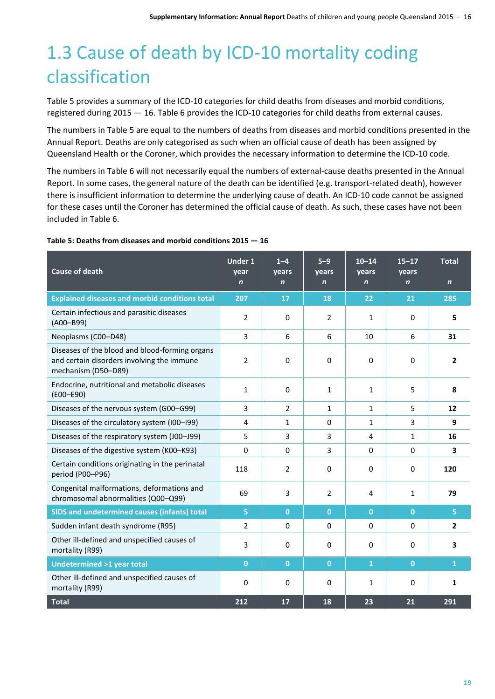## <span id="page-18-0"></span>1.3 Cause of death by ICD-10 mortality coding classification

Table 5 provides a summary of the ICD-10 categories for child deaths from diseases and morbid conditions, registered during 2015 — 16. Table 6 provides the ICD-10 categories for child deaths from external causes.

The numbers in Table 5 are equal to the numbers of deaths from diseases and morbid conditions presented in the Annual Report. Deaths are only categorised as such when an official cause of death has been assigned by Queensland Health or the Coroner, which provides the necessary information to determine the ICD-10 code.

The numbers in Table 6 will not necessarily equal the numbers of external-cause deaths presented in the Annual Report. In some cases, the general nature of the death can be identified (e.g. transport-related death), however there is insufficient information to determine the underlying cause of death. An ICD-10 code cannot be assigned for these cases until the Coroner has determined the official cause of death. As such, these cases have not been included in Table 6.

| <b>Cause of death</b>                                                                                               | <b>Under 1</b><br>year<br>$\mathbf n$ | $1 - 4$<br>years<br>$\mathbf n$ | $5 - 9$<br>years<br>$\mathbf n$ | $10 - 14$<br>years<br>$\mathbf n$ | $15 - 17$<br>years<br>$\mathbf n$ | <b>Total</b><br>$\mathbf n$ |
|---------------------------------------------------------------------------------------------------------------------|---------------------------------------|---------------------------------|---------------------------------|-----------------------------------|-----------------------------------|-----------------------------|
| <b>Explained diseases and morbid conditions total</b>                                                               | 207                                   | 17                              | 18                              | 22                                | 21                                | 285                         |
| Certain infectious and parasitic diseases<br>$(A00 - B99)$                                                          | $\overline{2}$                        | 0                               | $\overline{2}$                  | 1                                 | $\mathbf 0$                       | 5                           |
| Neoplasms (C00-D48)                                                                                                 | 3                                     | 6                               | 6                               | 10                                | 6                                 | 31                          |
| Diseases of the blood and blood-forming organs<br>and certain disorders involving the immune<br>mechanism (D50-D89) | 2                                     | 0                               | 0                               | 0                                 | $\Omega$                          | 2                           |
| Endocrine, nutritional and metabolic diseases<br>(E00-E90)                                                          | 1                                     | $\Omega$                        | 1                               | 1                                 | 5                                 | 8                           |
| Diseases of the nervous system (G00-G99)                                                                            | 3                                     | 2                               | $\mathbf{1}$                    | $\mathbf{1}$                      | 5                                 | 12                          |
| Diseases of the circulatory system (I00-I99)                                                                        | $\overline{4}$                        | 1                               | $\Omega$                        | $\mathbf{1}$                      | 3                                 | 9                           |
| Diseases of the respiratory system (J00-J99)                                                                        | 5                                     | 3                               | 3                               | 4                                 | $\mathbf{1}$                      | 16                          |
| Diseases of the digestive system (K00-K93)                                                                          | 0                                     | 0                               | 3                               | $\Omega$                          | $\mathbf 0$                       | 3                           |
| Certain conditions originating in the perinatal<br>period (P00-P96)                                                 | 118                                   | 2                               | $\Omega$                        | $\Omega$                          | $\Omega$                          | 120                         |
| Congenital malformations, deformations and<br>chromosomal abnormalities (Q00-Q99)                                   | 69                                    | 3                               | $\overline{2}$                  | 4                                 | $\mathbf{1}$                      | 79                          |
| <b>SIDS and undetermined causes (infants) total</b>                                                                 | 5                                     | $\bf{0}$                        | $\mathbf{0}$                    | $\overline{0}$                    | $\mathbf 0$                       | 5                           |
| Sudden infant death syndrome (R95)                                                                                  | $\overline{2}$                        | $\Omega$                        | $\Omega$                        | $\Omega$                          | $\Omega$                          | 2                           |
| Other ill-defined and unspecified causes of<br>mortality (R99)                                                      | 3                                     | $\mathbf 0$                     | $\Omega$                        | $\Omega$                          | $\Omega$                          | 3                           |
| <b>Undetermined &gt;1 year total</b>                                                                                | $\mathbf{0}$                          | $\overline{0}$                  | $\mathbf{0}$                    | $\mathbf{1}$                      | $\mathbf{0}$                      | $\mathbf{1}$                |
| Other ill-defined and unspecified causes of<br>mortality (R99)                                                      | $\Omega$                              | 0                               | $\Omega$                        | $\mathbf{1}$                      | $\Omega$                          | 1                           |
| <b>Total</b>                                                                                                        | 212                                   | 17                              | 18                              | 23                                | 21                                | 291                         |

#### **Table 5: Deaths from diseases and morbid conditions 2015 — 16**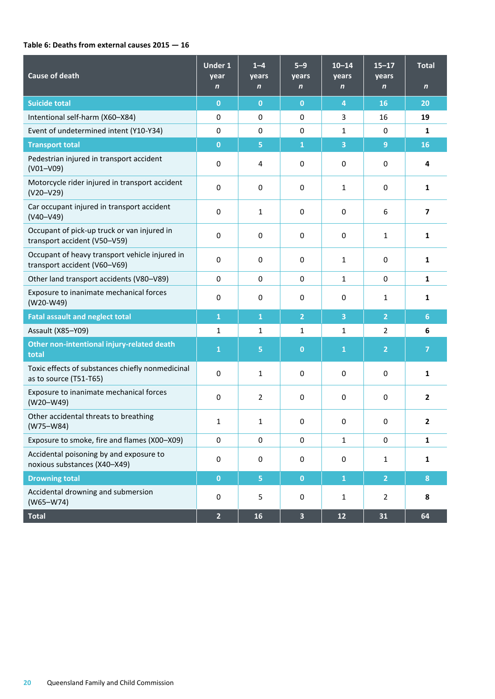#### **Table 6: Deaths from external causes 2015 — 16**

| <b>Cause of death</b>                                                          | <b>Under 1</b><br>year<br>$\mathbf n$ | $1 - 4$<br>years<br>$\mathbf n$ | $5 - 9$<br>years<br>$\mathbf n$ | $10 - 14$<br>years<br>$\mathbf n$ | $15 - 17$<br>years<br>$\mathbf n$ | <b>Total</b><br>$\mathbf n$ |
|--------------------------------------------------------------------------------|---------------------------------------|---------------------------------|---------------------------------|-----------------------------------|-----------------------------------|-----------------------------|
| <b>Suicide total</b>                                                           | $\mathbf{0}$                          | $\mathbf{0}$                    | $\mathbf{0}$                    | $\boldsymbol{4}$                  | 16                                | 20                          |
| Intentional self-harm (X60-X84)                                                | 0                                     | 0                               | $\mathbf 0$                     | 3                                 | 16                                | 19                          |
| Event of undetermined intent (Y10-Y34)                                         | 0                                     | $\mathbf 0$                     | $\mathbf 0$                     | 1                                 | $\mathbf 0$                       | 1                           |
| <b>Transport total</b>                                                         | $\mathbf{0}$                          | 5                               | $\overline{1}$                  | 3                                 | 9                                 | 16                          |
| Pedestrian injured in transport accident<br>$(V01-V09)$                        | 0                                     | 4                               | 0                               | $\mathbf 0$                       | $\mathbf 0$                       | 4                           |
| Motorcycle rider injured in transport accident<br>$(V20-V29)$                  | 0                                     | $\mathbf 0$                     | 0                               | $\mathbf{1}$                      | $\mathbf 0$                       | $\mathbf{1}$                |
| Car occupant injured in transport accident<br>$(V40 - V49)$                    | 0                                     | $\mathbf{1}$                    | 0                               | 0                                 | 6                                 | $\overline{7}$              |
| Occupant of pick-up truck or van injured in<br>transport accident (V50-V59)    | 0                                     | $\mathbf 0$                     | 0                               | $\mathbf 0$                       | 1                                 | 1                           |
| Occupant of heavy transport vehicle injured in<br>transport accident (V60-V69) | 0                                     | 0                               | $\mathbf 0$                     | $\mathbf{1}$                      | $\mathbf 0$                       | $\mathbf{1}$                |
| Other land transport accidents (V80-V89)                                       | 0                                     | $\mathbf 0$                     | $\mathbf 0$                     | $\mathbf{1}$                      | $\mathbf 0$                       | $\mathbf{1}$                |
| Exposure to inanimate mechanical forces<br>(W20-W49)                           | 0                                     | $\mathbf 0$                     | 0                               | 0                                 | 1                                 | 1                           |
| <b>Fatal assault and neglect total</b>                                         | $\mathbf{1}$                          | 1                               | $\overline{2}$                  | 3                                 | $\overline{2}$                    | 6                           |
| Assault (X85-Y09)                                                              | $\mathbf{1}$                          | $\mathbf{1}$                    | $\mathbf{1}$                    | $\mathbf{1}$                      | 2                                 | 6                           |
| Other non-intentional injury-related death<br>total                            | $\mathbf{1}$                          | 5                               | $\bf{0}$                        | $\mathbf{1}$                      | $\overline{2}$                    | $\overline{7}$              |
| Toxic effects of substances chiefly nonmedicinal<br>as to source (T51-T65)     | 0                                     | $\mathbf{1}$                    | 0                               | $\mathbf 0$                       | $\mathbf 0$                       | 1                           |
| Exposure to inanimate mechanical forces<br>$(W20-W49)$                         | 0                                     | $\overline{2}$                  | $\mathbf 0$                     | $\mathbf 0$                       | $\mathbf 0$                       | $\mathbf{2}$                |
| Other accidental threats to breathing<br>$(W75-W84)$                           | $\mathbf{1}$                          | 1                               | 0                               | 0                                 | 0                                 | $\mathbf{2}$                |
| Exposure to smoke, fire and flames (X00-X09)                                   | 0                                     | $\mathbf 0$                     | $\pmb{0}$                       | $\mathbf{1}$                      | 0                                 | 1                           |
| Accidental poisoning by and exposure to<br>noxious substances (X40-X49)        | $\pmb{0}$                             | 0                               | 0                               | $\pmb{0}$                         | $\mathbf{1}$                      | $\mathbf{1}$                |
| <b>Drowning total</b>                                                          | $\mathbf 0$                           | $\overline{5}$                  | $\mathbf{0}$                    | $\mathbf 1$                       | $\overline{2}$                    | 8                           |
| Accidental drowning and submersion<br>$(W65-W74)$                              | $\pmb{0}$                             | 5                               | 0                               | $1\,$                             | $\overline{2}$                    | 8                           |
| <b>Total</b>                                                                   | $\overline{2}$                        | 16                              | $\overline{\mathbf{3}}$         | $12\,$                            | 31                                | 64                          |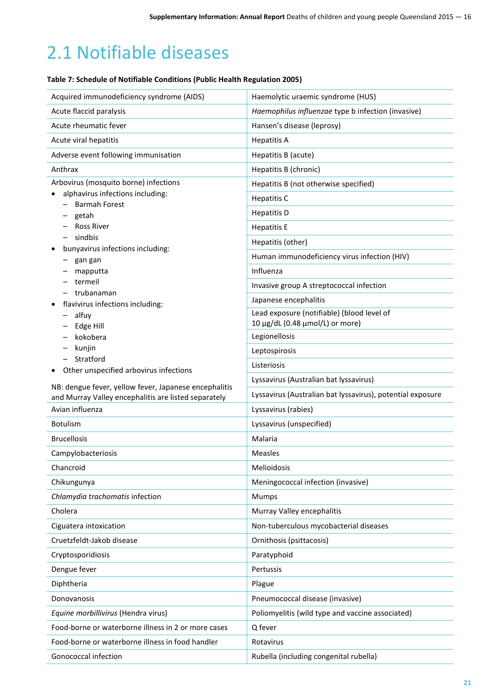## <span id="page-20-0"></span>2.1 Notifiable diseases

#### **Table 7: Schedule of Notifiable Conditions (Public Health Regulation 2005)**

| Acquired immunodeficiency syndrome (AIDS)                                                                     | Haemolytic uraemic syndrome (HUS)                          |
|---------------------------------------------------------------------------------------------------------------|------------------------------------------------------------|
| Acute flaccid paralysis                                                                                       | Haemophilus influenzae type b infection (invasive)         |
| Acute rheumatic fever                                                                                         | Hansen's disease (leprosy)                                 |
| Acute viral hepatitis                                                                                         | <b>Hepatitis A</b>                                         |
| Adverse event following immunisation                                                                          | Hepatitis B (acute)                                        |
| Anthrax                                                                                                       | Hepatitis B (chronic)                                      |
| Arbovirus (mosquito borne) infections                                                                         | Hepatitis B (not otherwise specified)                      |
| alphavirus infections including:                                                                              | <b>Hepatitis C</b>                                         |
| <b>Barmah Forest</b>                                                                                          | <b>Hepatitis D</b>                                         |
| getah<br><b>Ross River</b>                                                                                    |                                                            |
| sindbis                                                                                                       | <b>Hepatitis E</b>                                         |
| bunyavirus infections including:                                                                              | Hepatitis (other)                                          |
| gan gan                                                                                                       | Human immunodeficiency virus infection (HIV)               |
| mapputta                                                                                                      | Influenza                                                  |
| termeil                                                                                                       | Invasive group A streptococcal infection                   |
| trubanaman<br>flavivirus infections including:                                                                | Japanese encephalitis                                      |
| alfuy                                                                                                         | Lead exposure (notifiable) (blood level of                 |
| Edge Hill                                                                                                     | 10 μg/dL (0.48 μmol/L) or more)                            |
| kokobera                                                                                                      | Legionellosis                                              |
| kunjin                                                                                                        | Leptospirosis                                              |
| Stratford                                                                                                     | Listeriosis                                                |
| Other unspecified arbovirus infections                                                                        | Lyssavirus (Australian bat lyssavirus)                     |
| NB: dengue fever, yellow fever, Japanese encephalitis<br>and Murray Valley encephalitis are listed separately | Lyssavirus (Australian bat lyssavirus), potential exposure |
| Avian influenza                                                                                               | Lyssavirus (rabies)                                        |
| <b>Botulism</b>                                                                                               | Lyssavirus (unspecified)                                   |
| <b>Brucellosis</b>                                                                                            | Malaria                                                    |
| Campylobacteriosis                                                                                            | Measles                                                    |
| Chancroid                                                                                                     | Melioidosis                                                |
| Chikungunya                                                                                                   | Meningococcal infection (invasive)                         |
| Chlamydia trachomatis infection                                                                               | <b>Mumps</b>                                               |
| Cholera                                                                                                       | Murray Valley encephalitis                                 |
| Ciguatera intoxication                                                                                        | Non-tuberculous mycobacterial diseases                     |
| Cruetzfeldt-Jakob disease                                                                                     | Ornithosis (psittacosis)                                   |
| Cryptosporidiosis                                                                                             | Paratyphoid                                                |
| Dengue fever                                                                                                  | Pertussis                                                  |
| Diphtheria                                                                                                    | Plague                                                     |
| Donovanosis                                                                                                   | Pneumococcal disease (invasive)                            |
| Equine morbillivirus (Hendra virus)                                                                           | Poliomyelitis (wild type and vaccine associated)           |
| Food-borne or waterborne illness in 2 or more cases                                                           | Q fever                                                    |
| Food-borne or waterborne illness in food handler                                                              | Rotavirus                                                  |
| Gonococcal infection                                                                                          | Rubella (including congenital rubella)                     |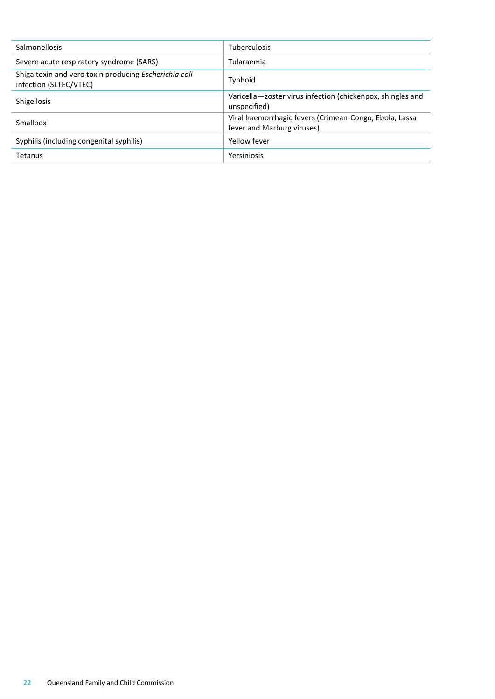| <b>Salmonellosis</b>                                                            | Tuberculosis                                                                         |
|---------------------------------------------------------------------------------|--------------------------------------------------------------------------------------|
| Severe acute respiratory syndrome (SARS)                                        | Tularaemia                                                                           |
| Shiga toxin and vero toxin producing Escherichia coli<br>infection (SLTEC/VTEC) | Typhoid                                                                              |
| <b>Shigellosis</b>                                                              | Varicella-zoster virus infection (chickenpox, shingles and<br>unspecified)           |
| Smallpox                                                                        | Viral haemorrhagic fevers (Crimean-Congo, Ebola, Lassa<br>fever and Marburg viruses) |
| Syphilis (including congenital syphilis)                                        | Yellow fever                                                                         |
| Tetanus                                                                         | Yersiniosis                                                                          |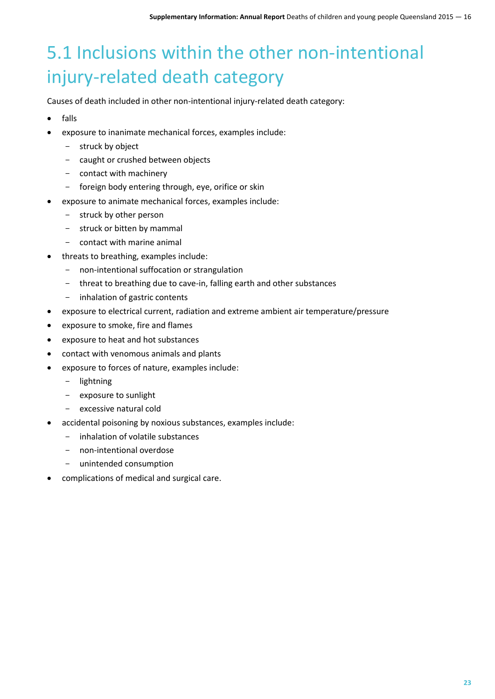## <span id="page-22-0"></span>5.1 Inclusions within the other non-intentional injury-related death category

Causes of death included in other non-intentional injury-related death category:

- falls
- exposure to inanimate mechanical forces, examples include:
	- struck by object
	- caught or crushed between objects
	- contact with machinery
	- foreign body entering through, eye, orifice or skin
	- exposure to animate mechanical forces, examples include:
		- struck by other person
		- struck or bitten by mammal
		- contact with marine animal
- threats to breathing, examples include:
	- non-intentional suffocation or strangulation
	- threat to breathing due to cave-in, falling earth and other substances
	- inhalation of gastric contents
- exposure to electrical current, radiation and extreme ambient air temperature/pressure
- exposure to smoke, fire and flames
- exposure to heat and hot substances
- contact with venomous animals and plants
- exposure to forces of nature, examples include:
	- lightning
	- exposure to sunlight
	- excessive natural cold
- accidental poisoning by noxious substances, examples include:
	- inhalation of volatile substances
	- non-intentional overdose
	- unintended consumption
- complications of medical and surgical care.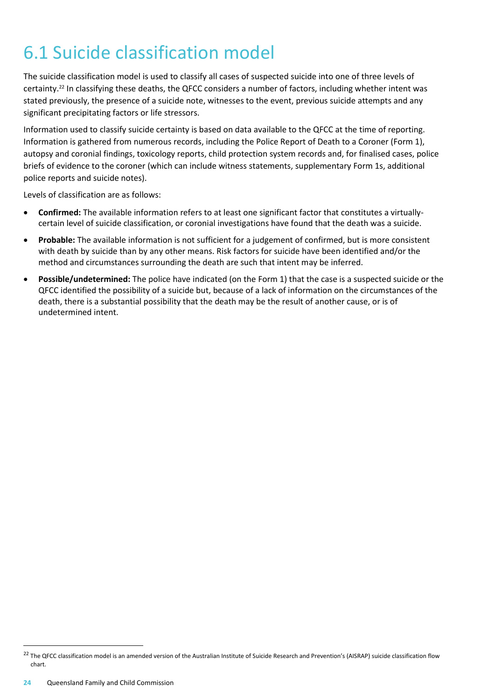## <span id="page-23-0"></span>6.1 Suicide classification model

The suicide classification model is used to classify all cases of suspected suicide into one of three levels of certainty.<sup>22</sup> In classifying these deaths, the QFCC considers a number of factors, including whether intent was stated previously, the presence of a suicide note, witnesses to the event, previous suicide attempts and any significant precipitating factors or life stressors.

Information used to classify suicide certainty is based on data available to the QFCC at the time of reporting. Information is gathered from numerous records, including the Police Report of Death to a Coroner (Form 1), autopsy and coronial findings, toxicology reports, child protection system records and, for finalised cases, police briefs of evidence to the coroner (which can include witness statements, supplementary Form 1s, additional police reports and suicide notes).

Levels of classification are as follows:

- **Confirmed:** The available information refers to at least one significant factor that constitutes a virtuallycertain level of suicide classification, or coronial investigations have found that the death was a suicide.
- **Probable:** The available information is not sufficient for a judgement of confirmed, but is more consistent with death by suicide than by any other means. Risk factors for suicide have been identified and/or the method and circumstances surrounding the death are such that intent may be inferred.
- **Possible/undetermined:** The police have indicated (on the Form 1) that the case is a suspected suicide or the QFCC identified the possibility of a suicide but, because of a lack of information on the circumstances of the death, there is a substantial possibility that the death may be the result of another cause, or is of undetermined intent.

 $\overline{a}$ 

<sup>&</sup>lt;sup>22</sup> The QFCC classification model is an amended version of the Australian Institute of Suicide Research and Prevention's (AISRAP) suicide classification flow chart.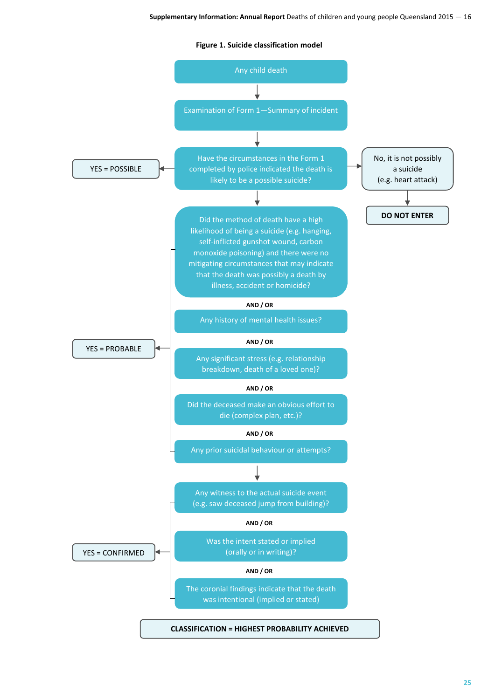**Figure 1. Suicide classification model**